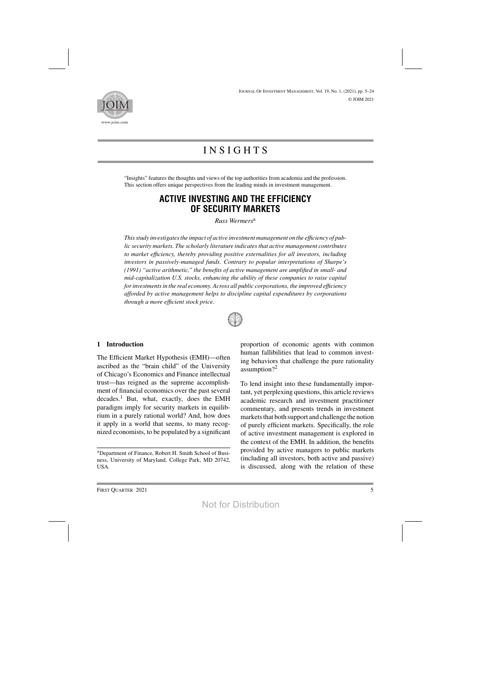

# **INSIGHTS**

"Insights" features the thoughts and views of the top authorities from academia and the profession. This section offers unique perspectives from the leading minds in investment management.

## **ACTIVE INVESTING AND THE EFFICIENCY OF SECURITY MARKETS**

*Russ Wermers*<sup>a</sup>

*Thisstudy investigatesthe impact of active investment management on the efficiency of public security markets. The scholarly literature indicatesthat active management contributes to market efficiency, thereby providing positive externalities for all investors, including investors in passively-managed funds. Contrary to popular interpretations of Sharpe's (1991) "active arithmetic," the benefits of active management are amplified in small- and mid-capitalization U.S. stocks, enhancing the ability of these companies to raise capital forinvestmentsin the real economy. Across all public corporations, the improved efficiency afforded by active management helps to discipline capital expenditures by corporations through a more efficient stock price.*



#### **1 Introduction**

The Efficient Market Hypothesis (EMH)—often ascribed as the "brain child" of the University of Chicago's Economics and Finance intellectual trust—has reigned as the supreme accomplishment of financial economics over the past several decades.<sup>1</sup> But, what, exactly, does the EMH paradigm imply for security markets in equilibrium in a purely rational world? And, how does it apply in a world that seems, to many recognized economists, to be populated by a significant proportion of economic agents with common human fallibilities that lead to common investing behaviors that challenge the pure rationality assumption?<sup>2</sup>

To lend insight into these fundamentally important, yet perplexing questions, this article reviews academic research and investment practitioner commentary, and presents trends in investment markets that both support and challenge the notion of purely efficient markets. Specifically, the role of active investment management is explored in the context of the EMH. In addition, the benefits provided by active managers to public markets (including all investors, both active and passive) is discussed, along with the relation of these

aDepartment of Finance, Robert H. Smith School of Business, University of Maryland, College Park, MD 20742, USA.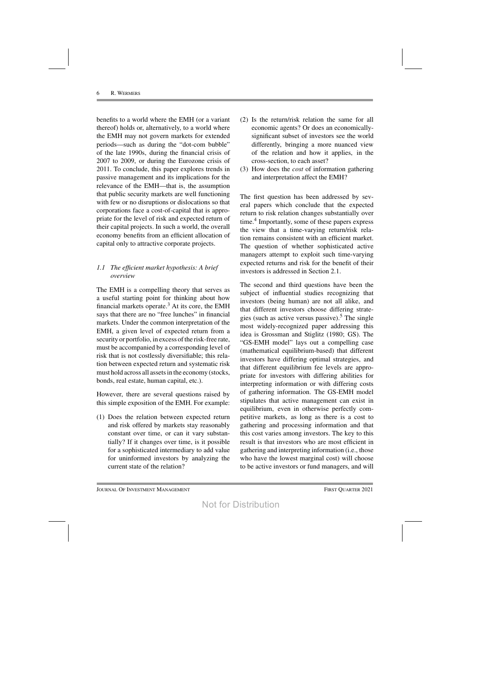benefits to a world where the EMH (or a variant thereof) holds or, alternatively, to a world where the EMH may not govern markets for extended periods—such as during the "dot-com bubble" of the late 1990s, during the financial crisis of 2007 to 2009, or during the Eurozone crisis of 2011. To conclude, this paper explores trends in passive management and its implications for the relevance of the EMH—that is, the assumption that public security markets are well functioning with few or no disruptions or dislocations so that corporations face a cost-of-capital that is appropriate for the level of risk and expected return of their capital projects. In such a world, the overall economy benefits from an efficient allocation of capital only to attractive corporate projects.

## *1.1 The efficient market hypothesis: A brief overview*

The EMH is a compelling theory that serves as a useful starting point for thinking about how financial markets operate.<sup>3</sup> At its core, the EMH says that there are no "free lunches" in financial markets. Under the common interpretation of the EMH, a given level of expected return from a security or portfolio, in excess of the risk-free rate, must be accompanied by a corresponding level of risk that is not costlessly diversifiable; this relation between expected return and systematic risk must hold across all assets in the economy (stocks, bonds, real estate, human capital, etc.).

However, there are several questions raised by this simple exposition of the EMH. For example:

(1) Does the relation between expected return and risk offered by markets stay reasonably constant over time, or can it vary substantially? If it changes over time, is it possible for a sophisticated intermediary to add value for uninformed investors by analyzing the current state of the relation?

- (2) Is the return/risk relation the same for all economic agents? Or does an economicallysignificant subset of investors see the world differently, bringing a more nuanced view of the relation and how it applies, in the cross-section, to each asset?
- (3) How does the *cost* of information gathering and interpretation affect the EMH?

The first question has been addressed by several papers which conclude that the expected return to risk relation changes substantially over time.<sup>4</sup> Importantly, some of these papers express the view that a time-varying return/risk relation remains consistent with an efficient market. The question of whether sophisticated active managers attempt to exploit such time-varying expected returns and risk for the benefit of their investors is addressed in Section 2.1.

The second and third questions have been the subject of influential studies recognizing that investors (being human) are not all alike, and that different investors choose differing strategies (such as active versus passive).<sup>5</sup> The single most widely-recognized paper addressing this idea is Grossman and Stiglitz (1980; GS). The "GS-EMH model" lays out a compelling case (mathematical equilibrium-based) that different investors have differing optimal strategies, and that different equilibrium fee levels are appropriate for investors with differing abilities for interpreting information or with differing costs of gathering information. The GS-EMH model stipulates that active management can exist in equilibrium, even in otherwise perfectly competitive markets, as long as there is a cost to gathering and processing information and that this cost varies among investors. The key to this result is that investors who are most efficient in gathering and interpreting information (i.e., those who have the lowest marginal cost) will choose to be active investors or fund managers, and will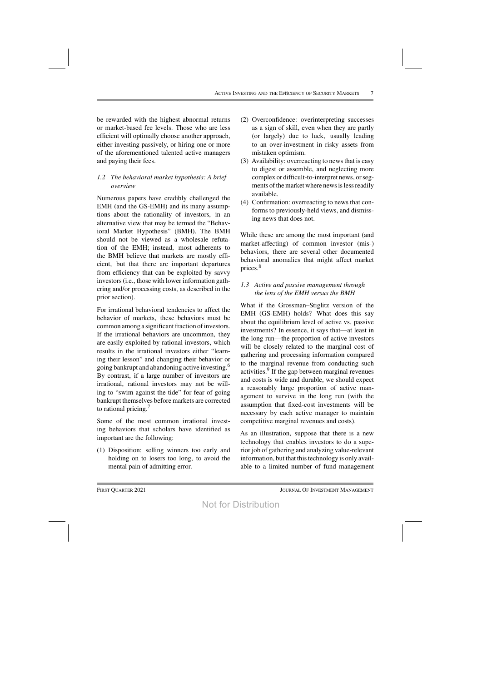be rewarded with the highest abnormal returns or market-based fee levels. Those who are less efficient will optimally choose another approach, either investing passively, or hiring one or more of the aforementioned talented active managers and paying their fees.

## *1.2 The behavioral market hypothesis: A brief overview*

Numerous papers have credibly challenged the EMH (and the GS-EMH) and its many assumptions about the rationality of investors, in an alternative view that may be termed the "Behavioral Market Hypothesis" (BMH). The BMH should not be viewed as a wholesale refutation of the EMH; instead, most adherents to the BMH believe that markets are mostly efficient, but that there are important departures from efficiency that can be exploited by savvy investors (i.e., those with lower information gathering and/or processing costs, as described in the prior section).

For irrational behavioral tendencies to affect the behavior of markets, these behaviors must be common among a significant fraction of investors. If the irrational behaviors are uncommon, they are easily exploited by rational investors, which results in the irrational investors either "learning their lesson" and changing their behavior or going bankrupt and abandoning active investing.6 By contrast, if a large number of investors are irrational, rational investors may not be willing to "swim against the tide" for fear of going bankrupt themselves before markets are corrected to rational pricing.<sup>7</sup>

Some of the most common irrational investing behaviors that scholars have identified as important are the following:

(1) Disposition: selling winners too early and holding on to losers too long, to avoid the mental pain of admitting error.

- (2) Overconfidence: overinterpreting successes as a sign of skill, even when they are partly (or largely) due to luck, usually leading to an over-investment in risky assets from mistaken optimism.
- (3) Availability: overreacting to newsthat is easy to digest or assemble, and neglecting more complex or difficult-to-interpret news, orsegments of the market where news is less readily available.
- (4) Confirmation: overreacting to news that conforms to previously-held views, and dismissing news that does not.

While these are among the most important (and market-affecting) of common investor (mis-) behaviors, there are several other documented behavioral anomalies that might affect market prices.8

## *1.3 Active and passive management through the lens of the EMH versus the BMH*

What if the Grossman–Stiglitz version of the EMH (GS-EMH) holds? What does this say about the equilibrium level of active vs. passive investments? In essence, it says that—at least in the long run—the proportion of active investors will be closely related to the marginal cost of gathering and processing information compared to the marginal revenue from conducting such activities.<sup>9</sup> If the gap between marginal revenues and costs is wide and durable, we should expect a reasonably large proportion of active management to survive in the long run (with the assumption that fixed-cost investments will be necessary by each active manager to maintain competitive marginal revenues and costs).

As an illustration, suppose that there is a new technology that enables investors to do a superior job of gathering and analyzing value-relevant information, but that this technology is only available to a limited number of fund management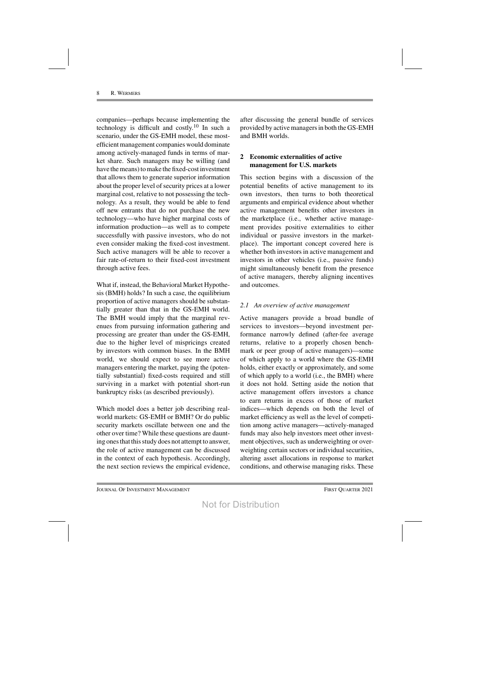companies—perhaps because implementing the technology is difficult and costly. <sup>10</sup> In such a scenario, under the GS-EMH model, these mostefficient management companies would dominate among actively-managed funds in terms of market share. Such managers may be willing (and have the means) to make the fixed-cost investment that allows them to generate superior information about the proper level of security prices at a lower marginal cost, relative to not possessing the technology. As a result, they would be able to fend off new entrants that do not purchase the new technology—who have higher marginal costs of information production—as well as to compete successfully with passive investors, who do not even consider making the fixed-cost investment. Such active managers will be able to recover a fair rate-of-return to their fixed-cost investment through active fees.

What if, instead, the Behavioral Market Hypothesis (BMH) holds? In such a case, the equilibrium proportion of active managers should be substantially greater than that in the GS-EMH world. The BMH would imply that the marginal revenues from pursuing information gathering and processing are greater than under the GS-EMH, due to the higher level of mispricings created by investors with common biases. In the BMH world, we should expect to see more active managers entering the market, paying the (potentially substantial) fixed-costs required and still surviving in a market with potential short-run bankruptcy risks (as described previously).

Which model does a better job describing realworld markets: GS-EMH or BMH? Or do public security markets oscillate between one and the other over time? While these questions are daunting ones that this study does not attempt to answer, the role of active management can be discussed in the context of each hypothesis. Accordingly, the next section reviews the empirical evidence, after discussing the general bundle of services provided by active managersin both the GS-EMH and BMH worlds.

## **2 Economic externalities of active management for U.S. markets**

This section begins with a discussion of the potential benefits of active management to its own investors, then turns to both theoretical arguments and empirical evidence about whether active management benefits other investors in the marketplace (i.e., whether active management provides positive externalities to either individual or passive investors in the marketplace). The important concept covered here is whether both investors in active management and investors in other vehicles (i.e., passive funds) might simultaneously benefit from the presence of active managers, thereby aligning incentives and outcomes.

## *2.1 An overview of active management*

Active managers provide a broad bundle of services to investors—beyond investment performance narrowly defined (after-fee average returns, relative to a properly chosen benchmark or peer group of active managers)—some of which apply to a world where the GS-EMH holds, either exactly or approximately, and some of which apply to a world (i.e., the BMH) where it does not hold. Setting aside the notion that active management offers investors a chance to earn returns in excess of those of market indices—which depends on both the level of market efficiency as well as the level of competition among active managers—actively-managed funds may also help investors meet other investment objectives, such as underweighting or overweighting certain sectors or individual securities, altering asset allocations in response to market conditions, and otherwise managing risks. These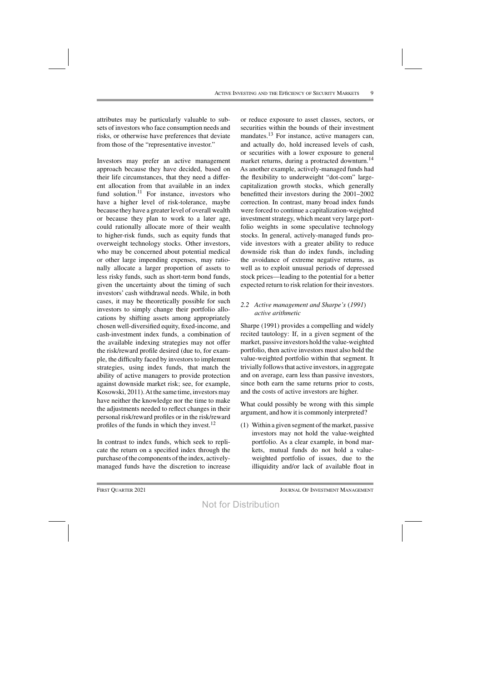attributes may be particularly valuable to subsets of investors who face consumption needs and risks, or otherwise have preferences that deviate from those of the "representative investor."

Investors may prefer an active management approach because they have decided, based on their life circumstances, that they need a different allocation from that available in an index fund solution.<sup>11</sup> For instance, investors who have a higher level of risk-tolerance, maybe because they have a greater level of overall wealth or because they plan to work to a later age, could rationally allocate more of their wealth to higher-risk funds, such as equity funds that overweight technology stocks. Other investors, who may be concerned about potential medical or other large impending expenses, may rationally allocate a larger proportion of assets to less risky funds, such as short-term bond funds, given the uncertainty about the timing of such investors' cash withdrawal needs. While, in both cases, it may be theoretically possible for such investors to simply change their portfolio allocations by shifting assets among appropriately chosen well-diversified equity, fixed-income, and cash-investment index funds, a combination of the available indexing strategies may not offer the risk/reward profile desired (due to, for example, the difficulty faced by investors to implement strategies, using index funds, that match the ability of active managers to provide protection against downside market risk; see, for example, Kosowski, 2011). At the same time, investors may have neither the knowledge nor the time to make the adjustments needed to reflect changes in their personal risk/reward profiles or in the risk/reward profiles of the funds in which they invest. $12$ 

In contrast to index funds, which seek to replicate the return on a specified index through the purchase of the components of the index, activelymanaged funds have the discretion to increase

or reduce exposure to asset classes, sectors, or securities within the bounds of their investment mandates.<sup>13</sup> For instance, active managers can, and actually do, hold increased levels of cash, or securities with a lower exposure to general market returns, during a protracted downturn.<sup>14</sup> As another example, actively-managed funds had the flexibility to underweight "dot-com" largecapitalization growth stocks, which generally benefitted their investors during the 2001–2002 correction. In contrast, many broad index funds were forced to continue a capitalization-weighted investment strategy, which meant very large portfolio weights in some speculative technology stocks. In general, actively-managed funds provide investors with a greater ability to reduce downside risk than do index funds, including the avoidance of extreme negative returns, as well as to exploit unusual periods of depressed stock prices—leading to the potential for a better expected return to risk relation for their investors.

#### *2.2 Active management and Sharpe's* (*1991*) *active arithmetic*

Sharpe (1991) provides a compelling and widely recited tautology: If, in a given segment of the market, passive investors hold the value-weighted portfolio, then active investors must also hold the value-weighted portfolio within that segment. It trivially followsthat active investors, in aggregate and on average, earn less than passive investors, since both earn the same returns prior to costs, and the costs of active investors are higher.

What could possibly be wrong with this simple argument, and how it is commonly interpreted?

 $(1)$  Within a given segment of the market, passive investors may not hold the value-weighted portfolio. As a clear example, in bond markets, mutual funds do not hold a valueweighted portfolio of issues, due to the illiquidity and/or lack of available float in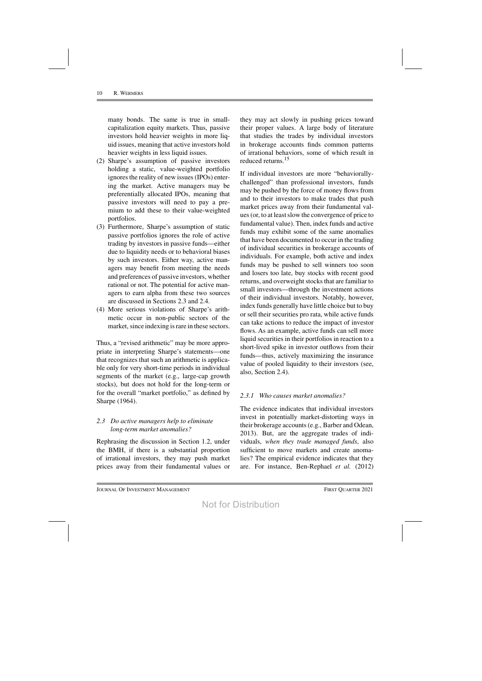many bonds. The same is true in smallcapitalization equity markets. Thus, passive investors hold heavier weights in more liquid issues, meaning that active investors hold heavier weights in less liquid issues.

- (2) Sharpe's assumption of passive investors holding a static, value-weighted portfolio ignores the reality of new issues (IPOs) entering the market. Active managers may be preferentially allocated IPOs, meaning that passive investors will need to pay a premium to add these to their value-weighted portfolios.
- (3) Furthermore, Sharpe's assumption of static passive portfolios ignores the role of active trading by investors in passive funds—either due to liquidity needs or to behavioral biases by such investors. Either way, active managers may benefit from meeting the needs and preferences of passive investors, whether rational or not. The potential for active managers to earn alpha from these two sources are discussed in Sections 2.3 and 2.4.
- (4) More serious violations of Sharpe's arithmetic occur in non-public sectors of the market, since indexing is rare in these sectors.

Thus, a "revised arithmetic" may be more appropriate in interpreting Sharpe's statements—one that recognizes that such an arithmetic is applicable only for very short-time periods in individual segments of the market (e.g., large-cap growth stocks), but does not hold for the long-term or for the overall "market portfolio," as defined by Sharpe (1964).

#### *2.3 Do active managers help to eliminate long-term market anomalies?*

Rephrasing the discussion in Section 1.2, under the BMH, if there is a substantial proportion of irrational investors, they may push market prices away from their fundamental values or

they may act slowly in pushing prices toward their proper values. A large body of literature that studies the trades by individual investors in brokerage accounts finds common patterns of irrational behaviors, some of which result in reduced returns.15

If individual investors are more "behaviorallychallenged" than professional investors, funds may be pushed by the force of money flows from and to their investors to make trades that push market prices away from their fundamental values(or, to at leastslow the convergence of price to fundamental value). Then, index funds and active funds may exhibit some of the same anomalies that have been documented to occur in the trading of individual securities in brokerage accounts of individuals. For example, both active and index funds may be pushed to sell winners too soon and losers too late, buy stocks with recent good returns, and overweight stocks that are familiar to small investors—through the investment actions of their individual investors. Notably, however, index funds generally have little choice but to buy or sell their securities pro rata, while active funds can take actions to reduce the impact of investor flows. As an example, active funds can sell more liquid securities in their portfolios in reaction to a short-lived spike in investor outflows from their funds—thus, actively maximizing the insurance value of pooled liquidity to their investors (see, also, Section 2.4).

#### *2.3.1 Who causes market anomalies?*

The evidence indicates that individual investors invest in potentially market-distorting ways in their brokerage accounts(e.g., Barber and Odean, 2013). But, are the aggregate trades of individuals, *when they trade managed funds*, also sufficient to move markets and create anomalies? The empirical evidence indicates that they are. For instance, Ben-Rephael *et al.* (2012)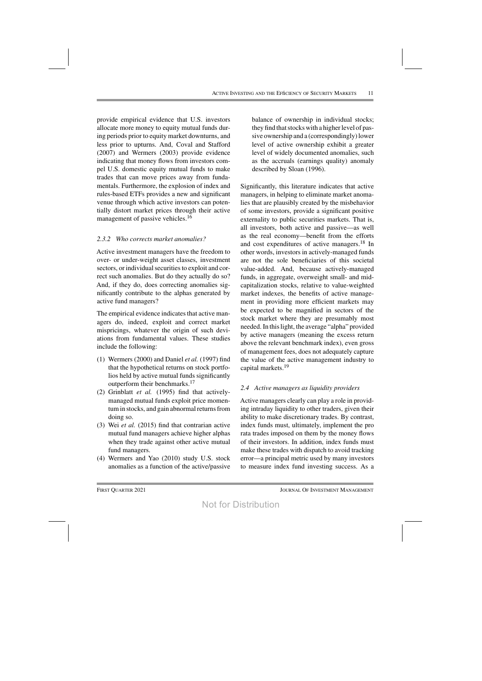provide empirical evidence that U.S. investors allocate more money to equity mutual funds during periods prior to equity market downturns, and less prior to upturns. And, Coval and Stafford (2007) and Wermers (2003) provide evidence indicating that money flows from investors compel U.S. domestic equity mutual funds to make trades that can move prices away from fundamentals. Furthermore, the explosion of index and rules-based ETFs provides a new and significant venue through which active investors can potentially distort market prices through their active management of passive vehicles.<sup>16</sup>

## *2.3.2 Who corrects market anomalies?*

Active investment managers have the freedom to over- or under-weight asset classes, investment sectors, or individual securities to exploit and correct such anomalies. But do they actually do so? And, if they do, does correcting anomalies significantly contribute to the alphas generated by active fund managers?

The empirical evidence indicates that active managers do, indeed, exploit and correct market mispricings, whatever the origin of such deviations from fundamental values. These studies include the following:

- (1) Wermers (2000) and Daniel *et al.* (1997) find that the hypothetical returns on stock portfolios held by active mutual funds significantly outperform their benchmarks.<sup>17</sup>
- (2) Grinblatt *et al.* (1995) find that activelymanaged mutual funds exploit price momentum in stocks, and gain abnormal returns from doing so.
- (3) Wei *et al.* (2015) find that contrarian active mutual fund managers achieve higher alphas when they trade against other active mutual fund managers.
- (4) Wermers and Yao (2010) study U.S. stock anomalies as a function of the active/passive

balance of ownership in individual stocks; they find that stocks with a higher level of passive ownership and a (correspondingly)lower level of active ownership exhibit a greater level of widely documented anomalies, such as the accruals (earnings quality) anomaly described by Sloan (1996).

Significantly, this literature indicates that active managers, in helping to eliminate market anomalies that are plausibly created by the misbehavior of some investors, provide a significant positive externality to public securities markets. That is, all investors, both active and passive—as well as the real economy—benefit from the efforts and cost expenditures of active managers.<sup>18</sup> In other words, investors in actively-managed funds are not the sole beneficiaries of this societal value-added. And, because actively-managed funds, in aggregate, overweight small- and midcapitalization stocks, relative to value-weighted market indexes, the benefits of active management in providing more efficient markets may be expected to be magnified in sectors of the stock market where they are presumably most needed. In thislight, the average "alpha" provided by active managers (meaning the excess return above the relevant benchmark index), even gross of management fees, does not adequately capture the value of the active management industry to capital markets.<sup>19</sup>

## *2.4 Active managers as liquidity providers*

Active managers clearly can play a role in providing intraday liquidity to other traders, given their ability to make discretionary trades. By contrast, index funds must, ultimately, implement the pro rata trades imposed on them by the money flows of their investors. In addition, index funds must make these trades with dispatch to avoid tracking error—a principal metric used by many investors to measure index fund investing success. As a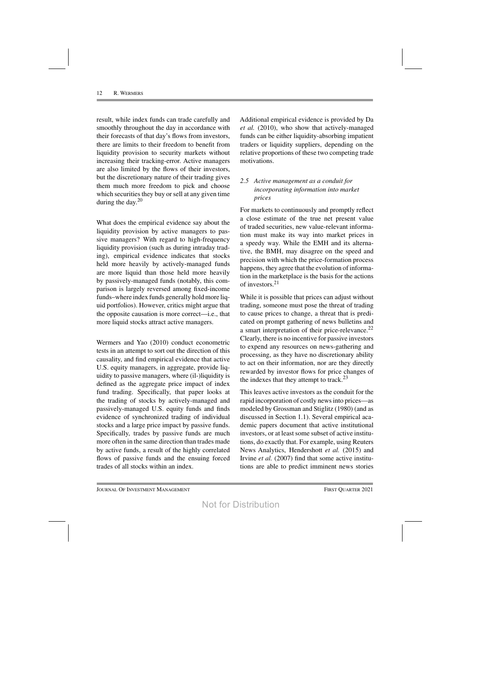result, while index funds can trade carefully and smoothly throughout the day in accordance with their forecasts of that day's flows from investors, there are limits to their freedom to benefit from liquidity provision to security markets without increasing their tracking-error. Active managers are also limited by the flows of their investors, but the discretionary nature of their trading gives them much more freedom to pick and choose which securities they buy or sell at any given time during the day. 20

What does the empirical evidence say about the liquidity provision by active managers to passive managers? With regard to high-frequency liquidity provision (such as during intraday trading), empirical evidence indicates that stocks held more heavily by actively-managed funds are more liquid than those held more heavily by passively-managed funds (notably, this comparison is largely reversed among fixed-income funds–where index funds generally hold more liquid portfolios). However, critics might argue that the opposite causation is more correct—i.e., that more liquid stocks attract active managers.

Wermers and Yao (2010) conduct econometric tests in an attempt to sort out the direction of this causality, and find empirical evidence that active U.S. equity managers, in aggregate, provide liquidity to passive managers, where (il-)liquidity is defined as the aggregate price impact of index fund trading. Specifically, that paper looks at the trading of stocks by actively-managed and passively-managed U.S. equity funds and finds evidence of synchronized trading of individual stocks and a large price impact by passive funds. Specifically, trades by passive funds are much more often in the same direction than trades made by active funds, a result of the highly correlated flows of passive funds and the ensuing forced trades of all stocks within an index.

Additional empirical evidence is provided by Da *et al.* (2010), who show that actively-managed funds can be either liquidity-absorbing impatient traders or liquidity suppliers, depending on the relative proportions of these two competing trade motivations.

## *2.5 Active management as a conduit for incorporating information into market prices*

For markets to continuously and promptly reflect a close estimate of the true net present value of traded securities, new value-relevant information must make its way into market prices in a speedy way. While the EMH and its alternative, the BMH, may disagree on the speed and precision with which the price-formation process happens, they agree that the evolution of information in the marketplace is the basis for the actions of investors.<sup>21</sup>

While it is possible that prices can adjust without trading, someone must pose the threat of trading to cause prices to change, a threat that is predicated on prompt gathering of news bulletins and a smart interpretation of their price-relevance.<sup>22</sup> Clearly, there is no incentive for passive investors to expend any resources on news-gathering and processing, as they have no discretionary ability to act on their information, nor are they directly rewarded by investor flows for price changes of the indexes that they attempt to track.<sup>23</sup>

This leaves active investors as the conduit for the rapid incorporation of costly newsinto prices—as modeled by Grossman and Stiglitz (1980) (and as discussed in Section 1.1). Several empirical academic papers document that active institutional investors, or at least some subset of active institutions, do exactly that. For example, using Reuters News Analytics, Hendershott *et al.* (2015) and Irvine *et al.* (2007) find that some active institutions are able to predict imminent news stories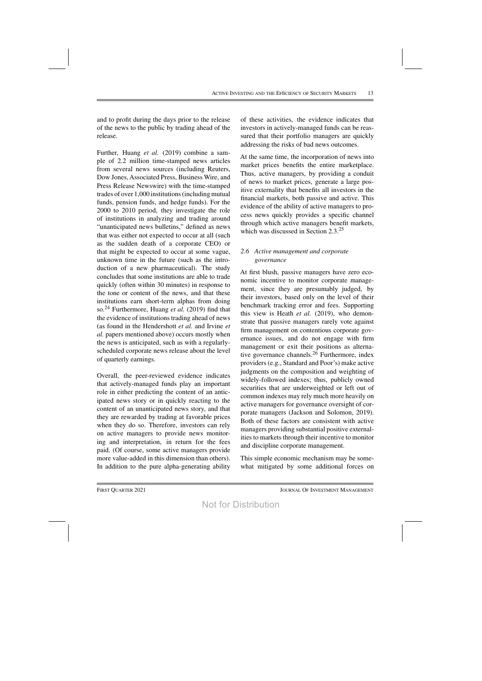and to profit during the days prior to the release of the news to the public by trading ahead of the release.

Further, Huang *et al.* (2019) combine a sample of 2.2 million time-stamped news articles from several news sources (including Reuters, Dow Jones, Associated Press, Business Wire, and Press Release Newswire) with the time-stamped trades of over 1,000 institutions (including mutual funds, pension funds, and hedge funds). For the 2000 to 2010 period, they investigate the role of institutions in analyzing and trading around "unanticipated news bulletins," defined as news that was either not expected to occur at all (such as the sudden death of a corporate CEO) or that might be expected to occur at some vague, unknown time in the future (such as the introduction of a new pharmaceutical). The study concludes that some institutions are able to trade quickly (often within 30 minutes) in response to the tone or content of the news, and that these institutions earn short-term alphas from doing so.24 Furthermore, Huang *et al.* (2019) find that the evidence of institutions trading ahead of news (as found in the Hendershott *et al.* and Irvine *et al.* papers mentioned above) occurs mostly when the news is anticipated, such as with a regularlyscheduled corporate news release about the level of quarterly earnings.

Overall, the peer-reviewed evidence indicates that actively-managed funds play an important role in either predicting the content of an anticipated news story or in quickly reacting to the content of an unanticipated news story, and that they are rewarded by trading at favorable prices when they do so. Therefore, investors can rely on active managers to provide news monitoring and interpretation, in return for the fees paid. (Of course, some active managers provide more value-added in this dimension than others). In addition to the pure alpha-generating ability of these activities, the evidence indicates that investors in actively-managed funds can be reassured that their portfolio managers are quickly addressing the risks of bad news outcomes.

At the same time, the incorporation of news into market prices benefits the entire marketplace. Thus, active managers, by providing a conduit of news to market prices, generate a large positive externality that benefits all investors in the financial markets, both passive and active. This evidence of the ability of active managers to process news quickly provides a specific channel through which active managers benefit markets, which was discussed in Section 2.3.<sup>25</sup>

## *2.6 Active management and corporate governance*

At first blush, passive managers have zero economic incentive to monitor corporate management, since they are presumably judged, by their investors, based only on the level of their benchmark tracking error and fees. Supporting this view is Heath *et al.* (2019), who demonstrate that passive managers rarely vote against firm management on contentious corporate governance issues, and do not engage with firm management or exit their positions as alternative governance channels.26 Furthermore, index providers (e.g., Standard and Poor's) make active judgments on the composition and weighting of widely-followed indexes; thus, publicly owned securities that are underweighted or left out of common indexes may rely much more heavily on active managers for governance oversight of corporate managers (Jackson and Solomon, 2019). Both of these factors are consistent with active managers providing substantial positive externalities to markets through their incentive to monitor and discipline corporate management.

This simple economic mechanism may be somewhat mitigated by some additional forces on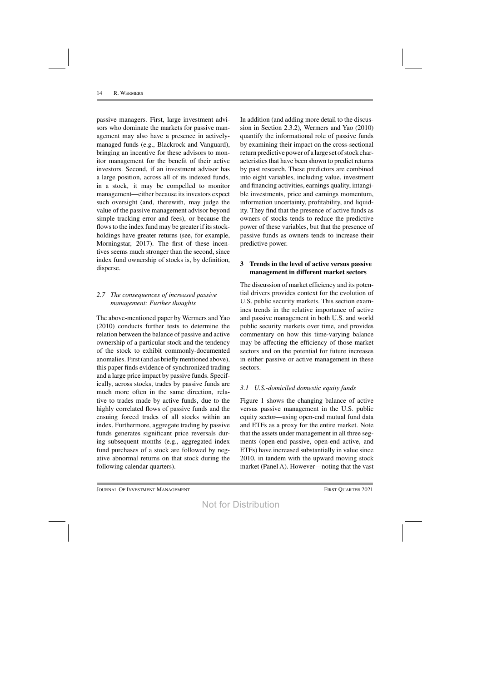passive managers. First, large investment advisors who dominate the markets for passive management may also have a presence in activelymanaged funds (e.g., Blackrock and Vanguard), bringing an incentive for these advisors to monitor management for the benefit of their active investors. Second, if an investment advisor has a large position, across all of its indexed funds, in a stock, it may be compelled to monitor management—either because its investors expect such oversight (and, therewith, may judge the value of the passive management advisor beyond simple tracking error and fees), or because the flows to the index fund may be greater if its stockholdings have greater returns (see, for example, Morningstar, 2017). The first of these incentives seems much stronger than the second, since index fund ownership of stocks is, by definition, disperse.

## *2.7 The consequences of increased passive management: Further thoughts*

The above-mentioned paper by Wermers and Yao (2010) conducts further tests to determine the relation between the balance of passive and active ownership of a particular stock and the tendency of the stock to exhibit commonly-documented anomalies. First (and as briefly mentioned above), this paper finds evidence of synchronized trading and a large price impact by passive funds. Specifically, across stocks, trades by passive funds are much more often in the same direction, relative to trades made by active funds, due to the highly correlated flows of passive funds and the ensuing forced trades of all stocks within an index. Furthermore, aggregate trading by passive funds generates significant price reversals during subsequent months (e.g., aggregated index fund purchases of a stock are followed by negative abnormal returns on that stock during the following calendar quarters).

In addition (and adding more detail to the discussion in Section 2.3.2), Wermers and Yao (2010) quantify the informational role of passive funds by examining their impact on the cross-sectional return predictive power of a large set of stock characteristics that have been shown to predict returns by past research. These predictors are combined into eight variables, including value, investment and financing activities, earnings quality, intangible investments, price and earnings momentum, information uncertainty, profitability, and liquidity. They find that the presence of active funds as owners of stocks tends to reduce the predictive power of these variables, but that the presence of passive funds as owners tends to increase their predictive power.

## **3 Trends in the level of active versus passive management in different market sectors**

The discussion of market efficiency and its potential drivers provides context for the evolution of U.S. public security markets. This section examines trends in the relative importance of active and passive management in both U.S. and world public security markets over time, and provides commentary on how this time-varying balance may be affecting the efficiency of those market sectors and on the potential for future increases in either passive or active management in these sectors.

## *3.1 U.S.-domiciled domestic equity funds*

Figure 1 shows the changing balance of active versus passive management in the U.S. public equity sector—using open-end mutual fund data and ETFs as a proxy for the entire market. Note that the assets under management in all three segments (open-end passive, open-end active, and ETFs) have increased substantially in value since 2010, in tandem with the upward moving stock market (Panel A). However—noting that the vast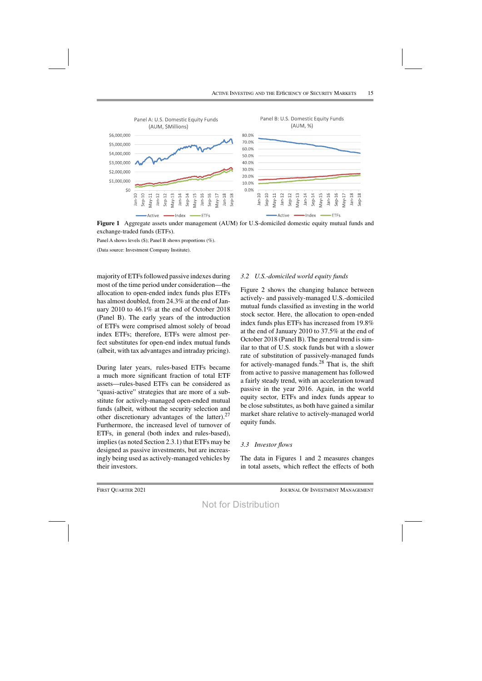

**Figure 1** Aggregate assets under management (AUM) for U.S-domiciled domestic equity mutual funds and exchange-traded funds (ETFs).

Panel A shows levels (\$); Panel B shows proportions (%).

(Data source: Investment Company Institute).

majority of ETFs followed passive indexes during most of the time period under consideration—the allocation to open-ended index funds plus ETFs has almost doubled, from 24.3% at the end of January 2010 to 46.1% at the end of October 2018 (Panel B). The early years of the introduction of ETFs were comprised almost solely of broad index ETFs; therefore, ETFs were almost perfect substitutes for open-end index mutual funds (albeit, with tax advantages and intraday pricing).

During later years, rules-based ETFs became a much more significant fraction of total ETF assets—rules-based ETFs can be considered as "quasi-active" strategies that are more of a substitute for actively-managed open-ended mutual funds (albeit, without the security selection and other discretionary advantages of the latter).  $27$ Furthermore, the increased level of turnover of ETFs, in general (both index and rules-based), implies(as noted Section 2.3.1) that ETFs may be designed as passive investments, but are increasingly being used as actively-managed vehicles by their investors.

#### *3.2 U.S.-domiciled world equity funds*

Figure 2 shows the changing balance between actively- and passively-managed U.S.-domiciled mutual funds classified as investing in the world stock sector. Here, the allocation to open-ended index funds plus ETFs has increased from 19.8% at the end of January 2010 to 37.5% at the end of October 2018 (Panel B). The general trend is similar to that of U.S. stock funds but with a slower rate of substitution of passively-managed funds for actively-managed funds. $^{28}$  That is, the shift from active to passive management has followed a fairly steady trend, with an acceleration toward passive in the year 2016. Again, in the world equity sector, ETFs and index funds appear to be close substitutes, as both have gained a similar market share relative to actively-managed world equity funds.

#### *3.3 Investor flows*

The data in Figures 1 and 2 measures changes in total assets, which reflect the effects of both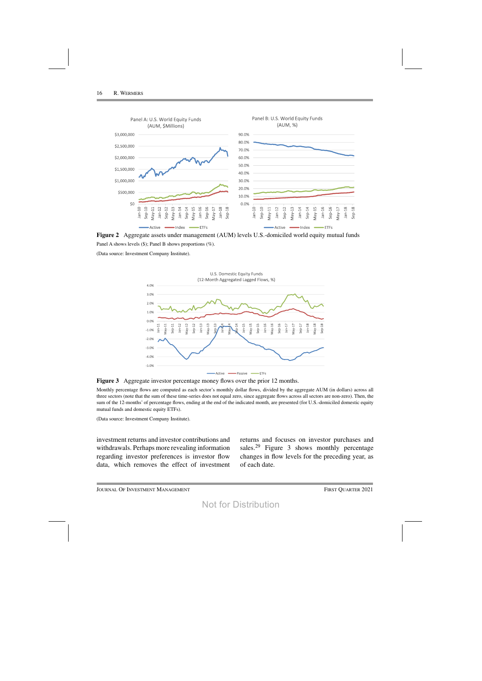

**Figure 2** Aggregate assets under management (AUM) levels U.S.-domiciled world equity mutual funds Panel A shows levels (\$); Panel B shows proportions (%).

(Data source: Investment Company Institute).



**Figure 3** Aggregate investor percentage money flows over the prior 12 months.

Monthly percentage flows are computed as each sector's monthly dollar flows, divided by the aggregate AUM (in dollars) across all three sectors (note that the sum of these time-series does not equal zero, since aggregate flows across all sectors are non-zero). Then, the sum of the 12-months' of percentage flows, ending at the end of the indicated month, are presented (for U.S.-domiciled domestic equity mutual funds and domestic equity ETFs).

(Data source: Investment Company Institute).

investment returns and investor contributions and withdrawals. Perhaps more revealing information regarding investor preferences is investor flow data, which removes the effect of investment returns and focuses on investor purchases and sales.<sup>29</sup> Figure 3 shows monthly percentage changes in flow levels for the preceding year, as of each date.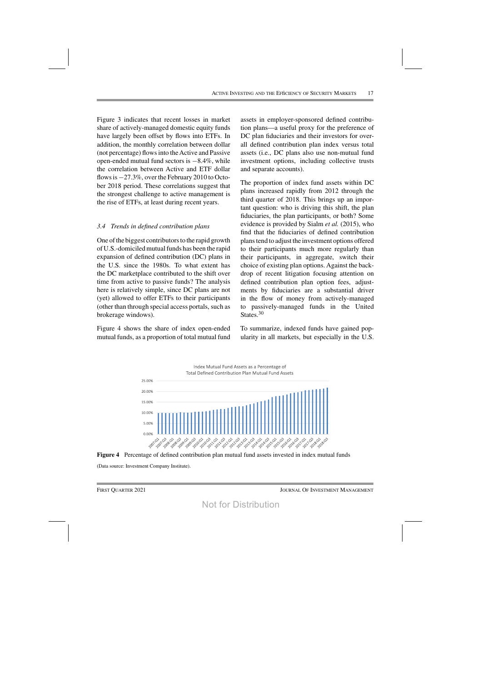Figure 3 indicates that recent losses in market share of actively-managed domestic equity funds have largely been offset by flows into ETFs. In addition, the monthly correlation between dollar (not percentage) flowsinto theActive and Passive open-ended mutual fund sectors is −8.4%, while the correlation between Active and ETF dollar flowsis −27.3%, over the February 2010 to October 2018 period. These correlations suggest that the strongest challenge to active management is the rise of ETFs, at least during recent years.

#### *3.4 Trends in defined contribution plans*

One of the biggest contributors to the rapid growth of U.S.-domiciled mutual funds has been the rapid expansion of defined contribution (DC) plans in the U.S. since the 1980s. To what extent has the DC marketplace contributed to the shift over time from active to passive funds? The analysis here is relatively simple, since DC plans are not (yet) allowed to offer ETFs to their participants (other than through special access portals, such as brokerage windows).

Figure 4 shows the share of index open-ended mutual funds, as a proportion of total mutual fund

assets in employer-sponsored defined contribution plans—a useful proxy for the preference of DC plan fiduciaries and their investors for overall defined contribution plan index versus total assets (i.e., DC plans also use non-mutual fund investment options, including collective trusts and separate accounts).

The proportion of index fund assets within DC plans increased rapidly from 2012 through the third quarter of 2018. This brings up an important question: who is driving this shift, the plan fiduciaries, the plan participants, or both? Some evidence is provided by Sialm *et al.* (2015), who find that the fiduciaries of defined contribution planstend to adjust the investment options offered to their participants much more regularly than their participants, in aggregate, switch their choice of existing plan options. Against the backdrop of recent litigation focusing attention on defined contribution plan option fees, adjustments by fiduciaries are a substantial driver in the flow of money from actively-managed to passively-managed funds in the United States.<sup>30</sup>

To summarize, indexed funds have gained popularity in all markets, but especially in the U.S.





(Data source: Investment Company Institute).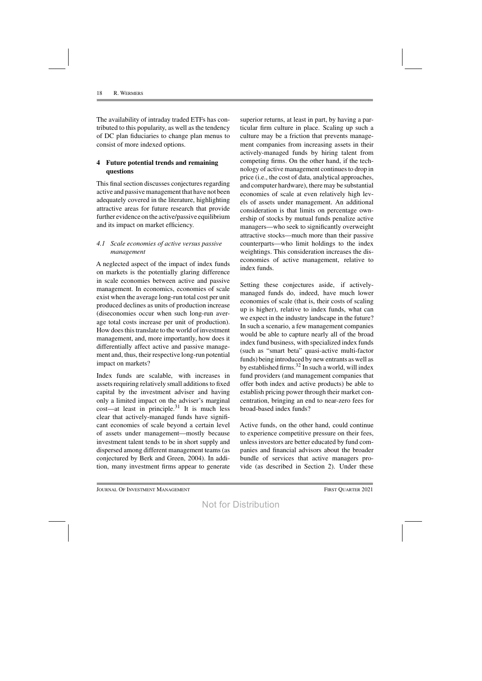The availability of intraday traded ETFs has contributed to this popularity, as well as the tendency of DC plan fiduciaries to change plan menus to consist of more indexed options.

#### **4 Future potential trends and remaining questions**

This final section discusses conjectures regarding active and passive management that have not been adequately covered in the literature, highlighting attractive areas for future research that provide further evidence on the active/passive equilibrium and its impact on market efficiency.

#### *4.1 Scale economies of active versus passive management*

A neglected aspect of the impact of index funds on markets is the potentially glaring difference in scale economies between active and passive management. In economics, economies of scale exist when the average long-run total cost per unit produced declines as units of production increase (diseconomies occur when such long-run average total costs increase per unit of production). How doesthistranslate to the world of investment management, and, more importantly, how does it differentially affect active and passive management and, thus, their respective long-run potential impact on markets?

Index funds are scalable, with increases in assets requiring relatively small additions to fixed capital by the investment adviser and having only a limited impact on the adviser's marginal cost—at least in principle.<sup>31</sup> It is much less clear that actively-managed funds have significant economies of scale beyond a certain level of assets under management—mostly because investment talent tends to be in short supply and dispersed among different management teams(as conjectured by Berk and Green, 2004). In addition, many investment firms appear to generate

superior returns, at least in part, by having a particular firm culture in place. Scaling up such a culture may be a friction that prevents management companies from increasing assets in their actively-managed funds by hiring talent from competing firms. On the other hand, if the technology of active management continuesto drop in price (i.e., the cost of data, analytical approaches, and computer hardware), there may be substantial economies of scale at even relatively high levels of assets under management. An additional consideration is that limits on percentage ownership of stocks by mutual funds penalize active managers—who seek to significantly overweight attractive stocks—much more than their passive counterparts—who limit holdings to the index weightings. This consideration increases the diseconomies of active management, relative to index funds.

Setting these conjectures aside, if activelymanaged funds do, indeed, have much lower economies of scale (that is, their costs of scaling up is higher), relative to index funds, what can we expect in the industry landscape in the future? In such a scenario, a few management companies would be able to capture nearly all of the broad index fund business, with specialized index funds (such as "smart beta" quasi-active multi-factor funds) being introduced by new entrants as well as by established firms. $32$  In such a world, will index fund providers (and management companies that offer both index and active products) be able to establish pricing power through their market concentration, bringing an end to near-zero fees for broad-based index funds?

Active funds, on the other hand, could continue to experience competitive pressure on their fees, unless investors are better educated by fund companies and financial advisors about the broader bundle of services that active managers provide (as described in Section 2). Under these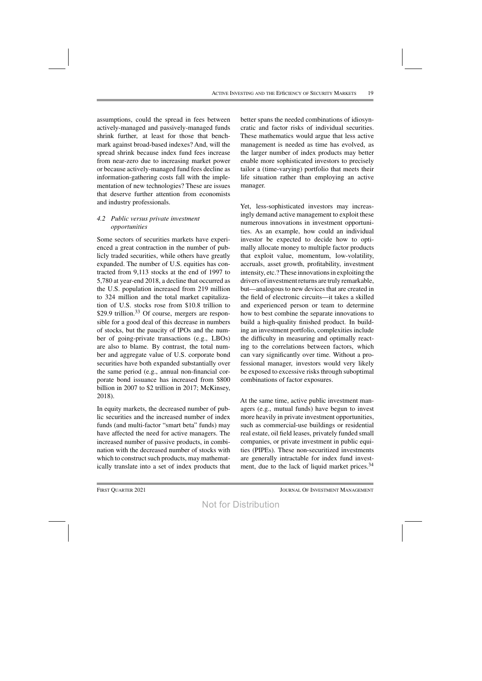assumptions, could the spread in fees between actively-managed and passively-managed funds shrink further, at least for those that benchmark against broad-based indexes? And, will the spread shrink because index fund fees increase from near-zero due to increasing market power or because actively-managed fund fees decline as information-gathering costs fall with the implementation of new technologies? These are issues that deserve further attention from economists and industry professionals.

## *4.2 Public versus private investment opportunities*

Some sectors of securities markets have experienced a great contraction in the number of publicly traded securities, while others have greatly expanded. The number of U.S. equities has contracted from 9,113 stocks at the end of 1997 to 5,780 at year-end 2018, a decline that occurred as the U.S. population increased from 219 million to 324 million and the total market capitalization of U.S. stocks rose from \$10.8 trillion to \$29.9 trillion.<sup>33</sup> Of course, mergers are responsible for a good deal of this decrease in numbers of stocks, but the paucity of IPOs and the number of going-private transactions (e.g., LBOs) are also to blame. By contrast, the total number and aggregate value of U.S. corporate bond securities have both expanded substantially over the same period (e.g., annual non-financial corporate bond issuance has increased from \$800 billion in 2007 to \$2 trillion in 2017; McKinsey, 2018).

In equity markets, the decreased number of public securities and the increased number of index funds (and multi-factor "smart beta" funds) may have affected the need for active managers. The increased number of passive products, in combination with the decreased number of stocks with which to construct such products, may mathematically translate into a set of index products that

better spans the needed combinations of idiosyncratic and factor risks of individual securities. These mathematics would argue that less active management is needed as time has evolved, as the larger number of index products may better enable more sophisticated investors to precisely tailor a (time-varying) portfolio that meets their life situation rather than employing an active manager.

Yet, less-sophisticated investors may increasingly demand active management to exploit these numerous innovations in investment opportunities. As an example, how could an individual investor be expected to decide how to optimally allocate money to multiple factor products that exploit value, momentum, low-volatility, accruals, asset growth, profitability, investment intensity, etc.? These innovations in exploiting the drivers of investment returns are truly remarkable, but—analogous to new devices that are created in the field of electronic circuits—it takes a skilled and experienced person or team to determine how to best combine the separate innovations to build a high-quality finished product. In building an investment portfolio, complexities include the difficulty in measuring and optimally reacting to the correlations between factors, which can vary significantly over time. Without a professional manager, investors would very likely be exposed to excessive risks through suboptimal combinations of factor exposures.

At the same time, active public investment managers (e.g., mutual funds) have begun to invest more heavily in private investment opportunities, such as commercial-use buildings or residential real estate, oil field leases, privately funded small companies, or private investment in public equities (PIPEs). These non-securitized investments are generally intractable for index fund investment, due to the lack of liquid market prices.<sup>34</sup>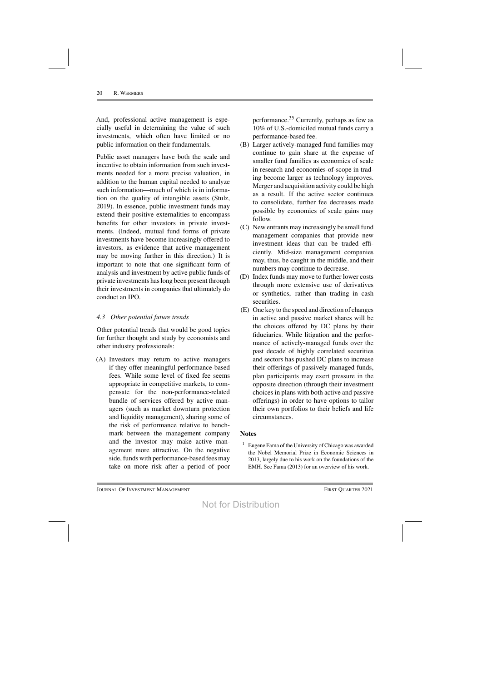And, professional active management is especially useful in determining the value of such investments, which often have limited or no public information on their fundamentals.

Public asset managers have both the scale and incentive to obtain information from such investments needed for a more precise valuation, in addition to the human capital needed to analyze such information—much of which is in information on the quality of intangible assets (Stulz, 2019). In essence, public investment funds may extend their positive externalities to encompass benefits for other investors in private investments. (Indeed, mutual fund forms of private investments have become increasingly offered to investors, as evidence that active management may be moving further in this direction.) It is important to note that one significant form of analysis and investment by active public funds of private investments haslong been present through their investments in companies that ultimately do conduct an IPO.

#### *4.3 Other potential future trends*

Other potential trends that would be good topics for further thought and study by economists and other industry professionals:

(A) Investors may return to active managers if they offer meaningful performance-based fees. While some level of fixed fee seems appropriate in competitive markets, to compensate for the non-performance-related bundle of services offered by active managers (such as market downturn protection and liquidity management), sharing some of the risk of performance relative to benchmark between the management company and the investor may make active management more attractive. On the negative side, funds with performance-based fees may take on more risk after a period of poor performance.35 Currently, perhaps as few as 10% of U.S.-domiciled mutual funds carry a performance-based fee.

- (B) Larger actively-managed fund families may continue to gain share at the expense of smaller fund families as economies of scale in research and economies-of-scope in trading become larger as technology improves. Merger and acquisition activity could be high as a result. If the active sector continues to consolidate, further fee decreases made possible by economies of scale gains may follow.
- (C) New entrants may increasingly be small fund management companies that provide new investment ideas that can be traded efficiently. Mid-size management companies may, thus, be caught in the middle, and their numbers may continue to decrease.
- (D) Index funds may move to further lower costs through more extensive use of derivatives or synthetics, rather than trading in cash securities.
- (E) One key to the speed and direction of changes in active and passive market shares will be the choices offered by DC plans by their fiduciaries. While litigation and the performance of actively-managed funds over the past decade of highly correlated securities and sectors has pushed DC plans to increase their offerings of passively-managed funds, plan participants may exert pressure in the opposite direction (through their investment choices in plans with both active and passive offerings) in order to have options to tailor their own portfolios to their beliefs and life circumstances.

#### **Notes**

<sup>1</sup> Eugene Fama of the University of Chicago was awarded the Nobel Memorial Prize in Economic Sciences in 2013, largely due to his work on the foundations of the EMH. See Fama (2013) for an overview of his work.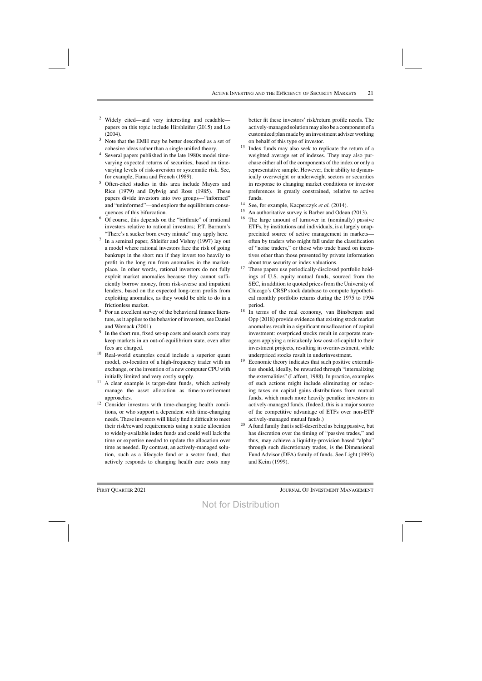- <sup>2</sup> Widely cited—and very interesting and readable papers on this topic include Hirshleifer (2015) and Lo (2004).
- <sup>3</sup> Note that the EMH may be better described as a set of cohesive ideas rather than a single unified theory.
- Several papers published in the late 1980s model timevarying expected returns of securities, based on timevarying levels of risk-aversion or systematic risk. See, for example, Fama and French (1989).
- <sup>5</sup> Often-cited studies in this area include Mayers and Rice (1979) and Dybvig and Ross (1985). These papers divide investors into two groups—"informed" and "uninformed"—and explore the equilibrium consequences of this bifurcation.
- <sup>6</sup> Of course, this depends on the "birthrate" of irrational investors relative to rational investors; P.T. Barnum's "There's a sucker born every minute" may apply here.
- $\frac{7}{1}$  In a seminal paper, Shleifer and Vishny (1997) lay out a model where rational investors face the risk of going bankrupt in the short run if they invest too heavily to profit in the long run from anomalies in the marketplace. In other words, rational investors do not fully exploit market anomalies because they cannot sufficiently borrow money, from risk-averse and impatient lenders, based on the expected long-term profits from exploiting anomalies, as they would be able to do in a frictionless market.
- For an excellent survey of the behavioral finance literature, as it applies to the behavior of investors, see Daniel and Womack (2001).
- <sup>9</sup> In the short run, fixed set-up costs and search costs may keep markets in an out-of-equilibrium state, even after fees are charged.
- <sup>10</sup> Real-world examples could include a superior quant model, co-location of a high-frequency trader with an exchange, or the invention of a new computer CPU with initially limited and very costly supply.
- A clear example is target-date funds, which actively manage the asset allocation as time-to-retirement approaches.
- <sup>12</sup> Consider investors with time-changing health conditions, or who support a dependent with time-changing needs. These investors will likely find it difficult to meet their risk/reward requirements using a static allocation to widely-available index funds and could well lack the time or expertise needed to update the allocation over time as needed. By contrast, an actively-managed solution, such as a lifecycle fund or a sector fund, that actively responds to changing health care costs may

better fit these investors' risk/return profile needs. The actively-managed solutionmay also be a component of a customized planmade by an investment adviserworking on behalf of this type of investor.

- <sup>13</sup> Index funds may also seek to replicate the return of a weighted average set of indexes. They may also purchase either all of the components of the index or only a representative sample. However, their ability to dynamically overweight or underweight sectors or securities in response to changing market conditions or investor preferences is greatly constrained, relative to active funds.
- <sup>14</sup> See, for example, Kacperczyk *et al.* (2014).
- <sup>15</sup> An authoritative survey is Barber and Odean (2013).<br><sup>16</sup> The Jarge amount of turnover in (nominally) passive
- The large amount of turnover in (nominally) passive ETFs, by institutions and individuals, is a largely unappreciated source of active management in markets often by traders who might fall under the classification of "noise traders," or those who trade based on incentives other than those presented by private information about true security or index valuations.
- <sup>17</sup> These papers use periodically-disclosed portfolio holdings of U.S. equity mutual funds, sourced from the SEC, in addition to quoted prices from the University of Chicago's CRSP stock database to compute hypothetical monthly portfolio returns during the 1975 to 1994 period.
- <sup>18</sup> In terms of the real economy, van Binsbergen and Opp (2018) provide evidence that existing stock market anomalies result in a significant misallocation of capital investment: overpriced stocks result in corporate managers applying a mistakenly low cost-of-capital to their investment projects, resulting in overinvestment, while underpriced stocks result in underinvestment.
- <sup>19</sup> Economic theory indicates that such positive externalities should, ideally, be rewarded through "internalizing the externalities" (Laffont, 1988). In practice, examples of such actions might include eliminating or reducing taxes on capital gains distributions from mutual funds, which much more heavily penalize investors in actively-managed funds. (Indeed, this is a major source of the competitive advantage of ETFs over non-ETF actively-managed mutual funds.)
- <sup>20</sup> A fund family that is self-described as being passive, but has discretion over the timing of "passive trades," and thus, may achieve a liquidity-provision based "alpha" through such discretionary trades, is the Dimensional Fund Advisor (DFA) family of funds. See Light (1993) and Keim (1999).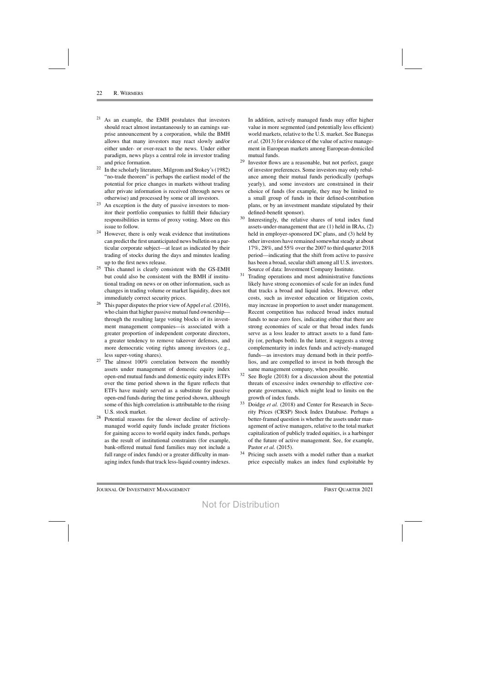- <sup>21</sup> As an example, the EMH postulates that investors should react almost instantaneously to an earnings surprise announcement by a corporation, while the BMH allows that many investors may react slowly and/or either under- or over-react to the news. Under either paradigm, news plays a central role in investor trading and price formation.
- <sup>22</sup> In the scholarly literature, Milgrom and Stokey's (1982) "no-trade theorem" is perhaps the earliest model of the potential for price changes in markets without trading after private information is received (through news or otherwise) and processed by some or all investors.
- $23$  An exception is the duty of passive investors to monitor their portfolio companies to fulfill their fiduciary responsibilities in terms of proxy voting. More on this issue to follow.
- <sup>24</sup> However, there is only weak evidence that institutions can predict the first unanticipated news bulletin on a particular corporate subject—at least as indicated by their trading of stocks during the days and minutes leading up to the first news release.
- <sup>25</sup> This channel is clearly consistent with the GS-EMH but could also be consistent with the BMH if institutional trading on news or on other information, such as changes in trading volume or market liquidity, does not immediately correct security prices.
- <sup>26</sup> This paper disputes the prior view of Appel *et al.* (2016), who claim that higher passive mutual fund ownership through the resulting large voting blocks of its investment management companies—is associated with a greater proportion of independent corporate directors, a greater tendency to remove takeover defenses, and more democratic voting rights among investors (e.g., less super-voting shares).
- The almost 100% correlation between the monthly assets under management of domestic equity index open-end mutual funds and domestic equity index ETFs over the time period shown in the figure reflects that ETFs have mainly served as a substitute for passive open-end funds during the time period shown, although some of this high correlation is attributable to the rising U.S. stock market.
- Potential reasons for the slower decline of activelymanaged world equity funds include greater frictions for gaining access to world equity index funds, perhaps as the result of institutional constraints (for example, bank-offered mutual fund families may not include a full range of index funds) or a greater difficulty in managing index funds that track less-liquid country indexes.

In addition, actively managed funds may offer higher value in more segmented (and potentially less efficient) world markets, relative to the U.S. market. See Banegas *et al.* (2013) for evidence of the value of active management in European markets among European-domiciled mutual funds.

- <sup>29</sup> Investor flows are a reasonable, but not perfect, gauge of investor preferences. Some investors may only rebalance among their mutual funds periodically (perhaps yearly), and some investors are constrained in their choice of funds (for example, they may be limited to a small group of funds in their defined-contribution plans, or by an investment mandate stipulated by their defined-benefit sponsor).
- <sup>30</sup> Interestingly, the relative shares of total index fund assets-under-management that are (1) held in IRAs, (2) held in employer-sponsored DC plans, and (3) held by other investors have remained somewhat steady at about 17%, 28%, and 55% over the 2007 to third quarter 2018 period—indicating that the shift from active to passive has been a broad, secular shift among all U.S. investors. Source of data: Investment Company Institute.
- $31$  Trading operations and most administrative functions likely have strong economies of scale for an index fund that tracks a broad and liquid index. However, other costs, such as investor education or litigation costs, may increase in proportion to asset under management. Recent competition has reduced broad index mutual funds to near-zero fees, indicating either that there are strong economies of scale or that broad index funds serve as a loss leader to attract assets to a fund family (or, perhaps both). In the latter, it suggests a strong complementarity in index funds and actively-managed funds—as investors may demand both in their portfolios, and are compelled to invest in both through the same management company, when possible.
- $32$  See Bogle (2018) for a discussion about the potential threats of excessive index ownership to effective corporate governance, which might lead to limits on the growth of index funds.
- <sup>33</sup> Doidge *et al.* (2018) and Center for Research in Security Prices (CRSP) Stock Index Database. Perhaps a better-framed question is whether the assets under management of active managers, relative to the total market capitalization of publicly traded equities, is a harbinger of the future of active management. See, for example, Pastor *et al.* (2015).
- Pricing such assets with a model rather than a market price especially makes an index fund exploitable by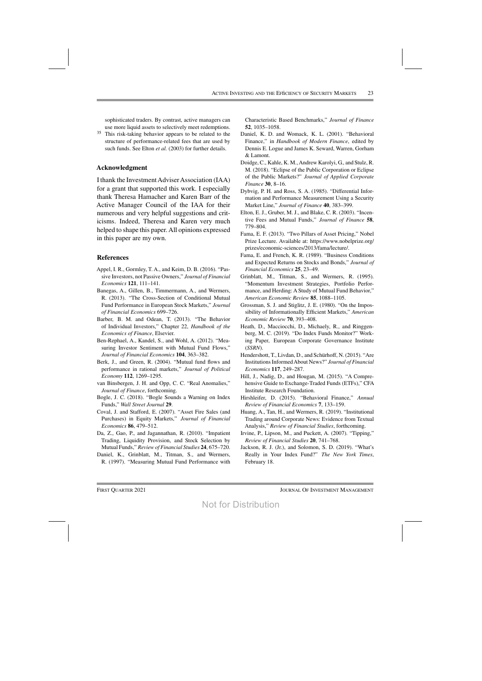sophisticated traders. By contrast, active managers can use more liquid assets to selectively meet redemptions.

<sup>35</sup> This risk-taking behavior appears to be related to the structure of performance-related fees that are used by such funds. See Elton *et al.* (2003) for further details.

#### **Acknowledgment**

I thank the InvestmentAdviserAssociation (IAA) for a grant that supported this work. I especially thank Theresa Hamacher and Karen Barr of the Active Manager Council of the IAA for their numerous and very helpful suggestions and criticisms. Indeed, Theresa and Karen very much helped to shape this paper. All opinions expressed in this paper are my own.

#### **References**

- Appel, I. R., Gormley, T. A., and Keim, D. B. (2016). "Passive Investors, not Passive Owners," *Journal of Financial Economics* **121**, 111–141.
- Banegas, A., Gillen, B., Timmermann, A., and Wermers, R. (2013). "The Cross-Section of Conditional Mutual Fund Performance in European Stock Markets," *Journal of Financial Economics* 699–726.
- Barber, B. M. and Odean, T. (2013). "The Behavior of Individual Investors," Chapter 22, *Handbook of the Economics of Finance*, Elsevier.
- Ben-Rephael, A., Kandel, S., and Wohl, A. (2012). "Measuring Investor Sentiment with Mutual Fund Flows," *Journal of Financial Economics* **104**, 363–382.
- Berk, J., and Green, R. (2004). "Mutual fund flows and performance in rational markets," *Journal of Political Economy* **112**, 1269–1295.
- van Binsbergen, J. H. and Opp, C. C. "Real Anomalies," *Journal of Finance*, forthcoming.
- Bogle, J. C. (2018). "Bogle Sounds a Warning on Index Funds," *Wall Street Journal* **29**.
- Coval, J. and Stafford, E. (2007). "Asset Fire Sales (and Purchases) in Equity Markets," *Journal of Financial Economics* **86**, 479–512.
- Da, Z., Gao, P., and Jagannathan, R. (2010). "Impatient Trading, Liquidity Provision, and Stock Selection by Mutual Funds," *Reviewof Financial Studies* **24**, 675–720.
- Daniel, K., Grinblatt, M., Titman, S., and Wermers, R. (1997). "Measuring Mutual Fund Performance with

Characteristic Based Benchmarks," *Journal of Finance* **52**, 1035–1058.

- Daniel, K. D. and Womack, K. L. (2001). "Behavioral Finance," in *Handbook of Modern Finance*, edited by Dennis E. Logue and James K. Seward, Warren, Gorham & Lamont.
- Doidge, C., Kahle, K. M.,Andrew Karolyi, G., and Stulz, R. M. (2018). "Eclipse of the Public Corporation or Eclipse of the Public Markets?" *Journal of Applied Corporate Finance* **30**, 8–16.
- Dybvig, P. H. and Ross, S. A. (1985). "Differential Information and Performance Measurement Using a Security Market Line," *Journal of Finance* **40**, 383–399.
- Elton, E. J., Gruber, M. J., and Blake, C. R. (2003). "Incentive Fees and Mutual Funds," *Journal of Finance* **58**, 779–804.
- Fama, E. F. (2013). "Two Pillars of Asset Pricing," Nobel Prize Lecture. Available at: https://www.nobelprize.org/ prizes/economic-sciences/2013/fama/lecture/.
- Fama, E. and French, K. R. (1989). "Business Conditions and Expected Returns on Stocks and Bonds," *Journal of Financial Economics* **25**, 23–49.
- Grinblatt, M., Titman, S., and Wermers, R. (1995). "Momentum Investment Strategies, Portfolio Performance, and Herding: A Study of Mutual Fund Behavior," *American Economic Review* **85**, 1088–1105.
- Grossman, S. J. and Stiglitz, J. E. (1980). "On the Impossibility of Informationally Efficient Markets," *American Economic Review* **70**, 393–408.
- Heath, D., Macciocchi, D., Michaely, R., and Ringgenberg, M. C. (2019). "Do Index Funds Monitor?" Working Paper, European Corporate Governance Institute (*SSRN*).
- Hendershott, T., Livdan, D., and Schürhoff, N.(2015). "Are InstitutionsInformedAbout News?" *Journal of Financial Economics* **117**, 249–287.
- Hill, J., Nadig, D., and Hougan, M. (2015). "A Comprehensive Guide to Exchange-Traded Funds (ETFs)," CFA Institute Research Foundation.
- Hirshleifer, D. (2015). "Behavioral Finance," *Annual Review of Financial Economics* **7**, 133–159.
- Huang, A., Tan, H., and Wermers, R. (2019). "Institutional Trading around Corporate News: Evidence from Textual Analysis," *Review of Financial Studies*, forthcoming.
- Irvine, P., Lipson, M., and Puckett, A. (2007). "Tipping," *Review of Financial Studies* **20**, 741–768.
- Jackson, R. J. (Jr.), and Solomon, S. D. (2019). "What's Really in Your Index Fund?" *The New York Times*, February 18.